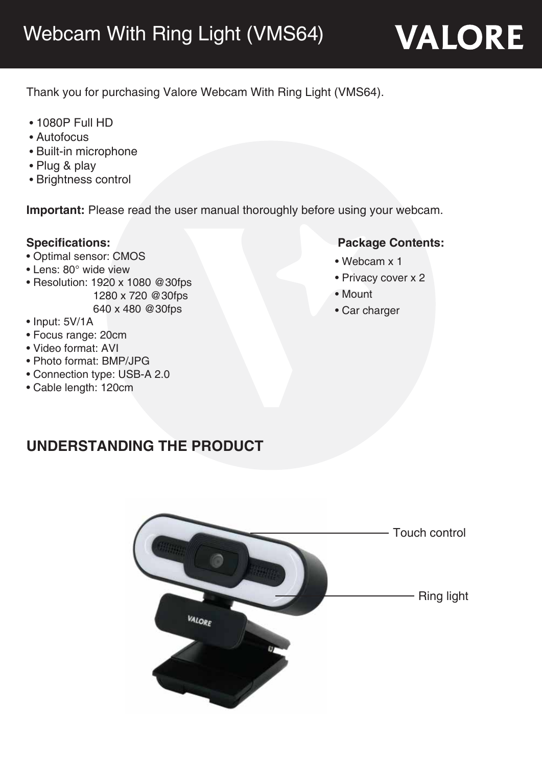Thank you for purchasing Valore Webcam With Ring Light (VMS64).

- 1080P Full HD
- Autofocus
- Built-in microphone
- Plug & play
- Brightness control

**Important:** Please read the user manual thoroughly before using your webcam.

- Optimal sensor: CMOS
- Lens: 80° wide view
- Resolution: 1920 x 1080 @30fps 1280 x 720 @30fps 640 x 480 @30fps
- Input: 5V/1A
- Focus range: 20cm
- Video format: AVI
- Photo format: BMP/JPG
- Connection type: USB-A 2.0
- Cable length: 120cm

## **Specifications: Package Contents:**

- Webcam x 1
- Privacy cover x 2
- Mount
- Car charger

# **UNDERSTANDING THE PRODUCT**

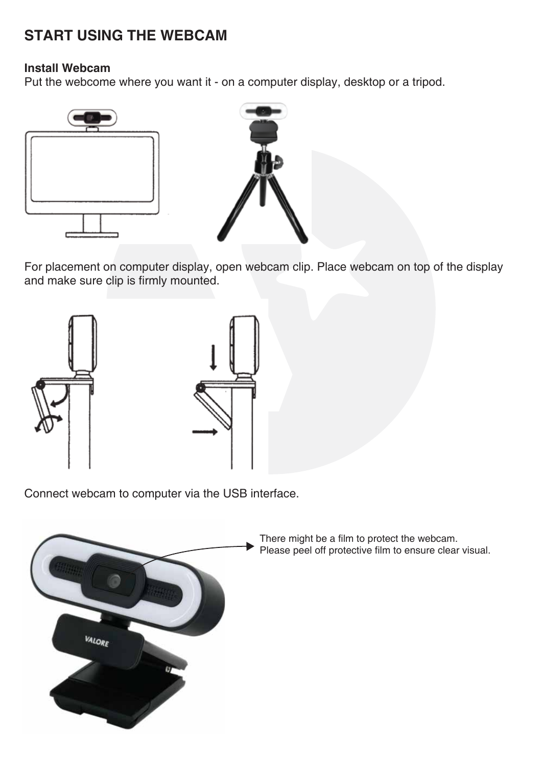# **START USING THE WEBCAM**

#### **Install Webcam**

Put the webcome where you want it - on a computer display, desktop or a tripod.





For placement on computer display, open webcam clip. Place webcam on top of the display and make sure clip is firmly mounted.





Connect webcam to computer via the USB interface.



There might be a film to protect the webcam. Please peel off protective film to ensure clear visual.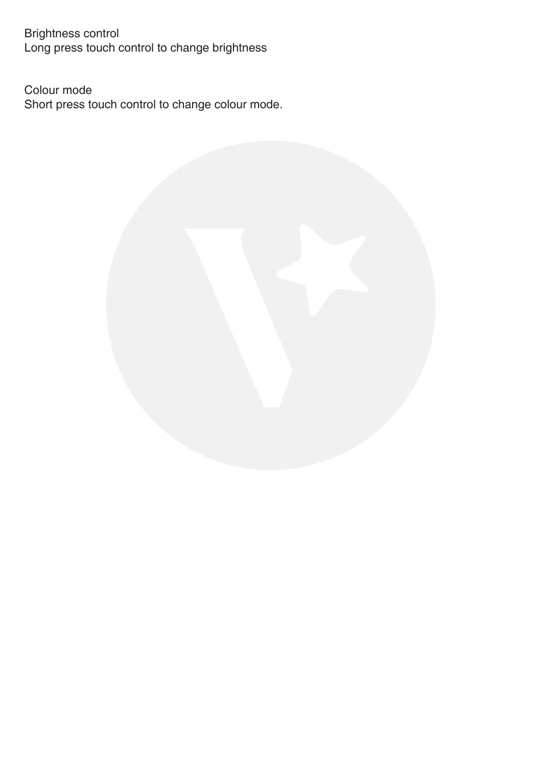Brightness control Long press touch control to change brightness

Colour mode Short press touch control to change colour mode.